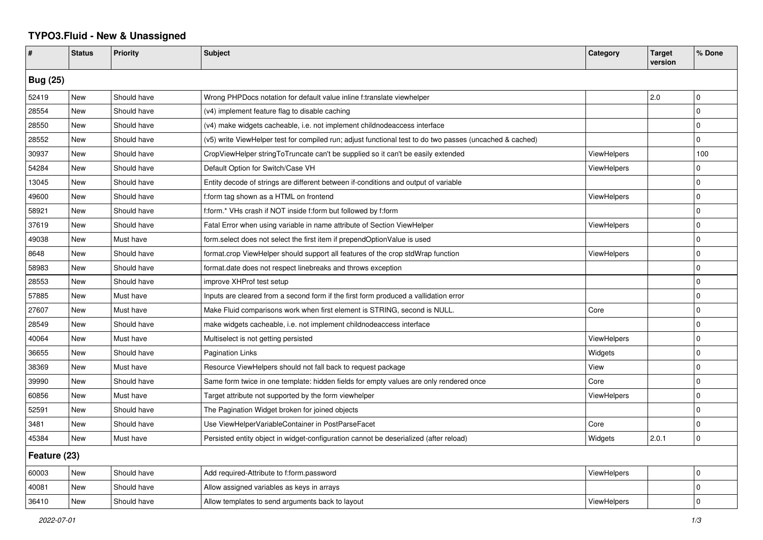## **TYPO3.Fluid - New & Unassigned**

| #               | <b>Status</b> | <b>Priority</b> | <b>Subject</b>                                                                                           | Category           | <b>Target</b><br>version | % Done      |  |  |
|-----------------|---------------|-----------------|----------------------------------------------------------------------------------------------------------|--------------------|--------------------------|-------------|--|--|
| <b>Bug (25)</b> |               |                 |                                                                                                          |                    |                          |             |  |  |
| 52419           | New           | Should have     | Wrong PHPDocs notation for default value inline f:translate viewhelper                                   |                    | 2.0                      | $\mathbf 0$ |  |  |
| 28554           | New           | Should have     | (v4) implement feature flag to disable caching                                                           |                    |                          | $\mathbf 0$ |  |  |
| 28550           | New           | Should have     | (v4) make widgets cacheable, i.e. not implement childnodeaccess interface                                |                    |                          | $\Omega$    |  |  |
| 28552           | New           | Should have     | (v5) write ViewHelper test for compiled run; adjust functional test to do two passes (uncached & cached) |                    |                          | $\mathbf 0$ |  |  |
| 30937           | New           | Should have     | CropViewHelper stringToTruncate can't be supplied so it can't be easily extended                         | <b>ViewHelpers</b> |                          | 100         |  |  |
| 54284           | New           | Should have     | Default Option for Switch/Case VH                                                                        | <b>ViewHelpers</b> |                          | $\mathbf 0$ |  |  |
| 13045           | New           | Should have     | Entity decode of strings are different between if-conditions and output of variable                      |                    |                          | $\mathbf 0$ |  |  |
| 49600           | New           | Should have     | f:form tag shown as a HTML on frontend                                                                   | <b>ViewHelpers</b> |                          | $\mathbf 0$ |  |  |
| 58921           | New           | Should have     | f:form.* VHs crash if NOT inside f:form but followed by f:form                                           |                    |                          | $\mathbf 0$ |  |  |
| 37619           | New           | Should have     | Fatal Error when using variable in name attribute of Section ViewHelper                                  | <b>ViewHelpers</b> |                          | $\mathbf 0$ |  |  |
| 49038           | New           | Must have       | form select does not select the first item if prependOptionValue is used                                 |                    |                          | $\mathbf 0$ |  |  |
| 8648            | New           | Should have     | format.crop ViewHelper should support all features of the crop stdWrap function                          | <b>ViewHelpers</b> |                          | $\mathbf 0$ |  |  |
| 58983           | New           | Should have     | format.date does not respect linebreaks and throws exception                                             |                    |                          | $\Omega$    |  |  |
| 28553           | New           | Should have     | improve XHProf test setup                                                                                |                    |                          | $\Omega$    |  |  |
| 57885           | New           | Must have       | Inputs are cleared from a second form if the first form produced a vallidation error                     |                    |                          | $\mathbf 0$ |  |  |
| 27607           | <b>New</b>    | Must have       | Make Fluid comparisons work when first element is STRING, second is NULL.                                | Core               |                          | $\mathbf 0$ |  |  |
| 28549           | New           | Should have     | make widgets cacheable, i.e. not implement childnodeaccess interface                                     |                    |                          | $\mathbf 0$ |  |  |
| 40064           | New           | Must have       | Multiselect is not getting persisted                                                                     | ViewHelpers        |                          | $\mathbf 0$ |  |  |
| 36655           | New           | Should have     | <b>Pagination Links</b>                                                                                  | Widgets            |                          | $\Omega$    |  |  |
| 38369           | New           | Must have       | Resource ViewHelpers should not fall back to request package                                             | View               |                          | $\mathbf 0$ |  |  |
| 39990           | <b>New</b>    | Should have     | Same form twice in one template: hidden fields for empty values are only rendered once                   | Core               |                          | $\mathbf 0$ |  |  |
| 60856           | <b>New</b>    | Must have       | Target attribute not supported by the form viewhelper                                                    | <b>ViewHelpers</b> |                          | $\Omega$    |  |  |
| 52591           | <b>New</b>    | Should have     | The Pagination Widget broken for joined objects                                                          |                    |                          | $\Omega$    |  |  |
| 3481            | New           | Should have     | Use ViewHelperVariableContainer in PostParseFacet                                                        | Core               |                          | $\Omega$    |  |  |
| 45384           | New           | Must have       | Persisted entity object in widget-configuration cannot be deserialized (after reload)                    | Widgets            | 2.0.1                    | $\pmb{0}$   |  |  |
| Feature (23)    |               |                 |                                                                                                          |                    |                          |             |  |  |
| 60003           | <b>New</b>    | Should have     | Add required-Attribute to f:form.password                                                                | <b>ViewHelpers</b> |                          | $\mathbf 0$ |  |  |
| 40081           | New           | Should have     | Allow assigned variables as keys in arrays                                                               |                    |                          | $\mathbf 0$ |  |  |
| 36410           | New           | Should have     | Allow templates to send arguments back to layout                                                         | ViewHelpers        |                          | $\Omega$    |  |  |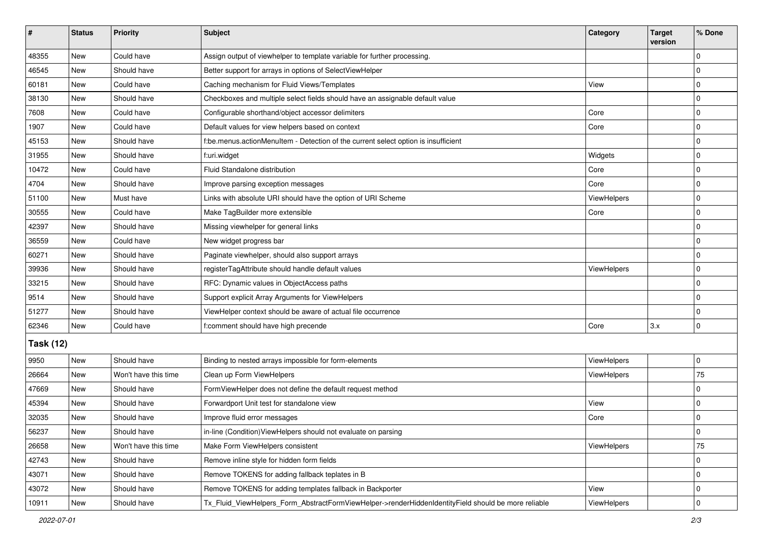| #                | <b>Status</b> | Priority             | <b>Subject</b>                                                                                      | Category    | <b>Target</b><br>version | % Done      |  |  |
|------------------|---------------|----------------------|-----------------------------------------------------------------------------------------------------|-------------|--------------------------|-------------|--|--|
| 48355            | New           | Could have           | Assign output of viewhelper to template variable for further processing.                            |             |                          | $\Omega$    |  |  |
| 46545            | <b>New</b>    | Should have          | Better support for arrays in options of SelectViewHelper                                            |             |                          | 0           |  |  |
| 60181            | New           | Could have           | Caching mechanism for Fluid Views/Templates                                                         | View        |                          | $\Omega$    |  |  |
| 38130            | <b>New</b>    | Should have          | Checkboxes and multiple select fields should have an assignable default value                       |             |                          | 0           |  |  |
| 7608             | New           | Could have           | Configurable shorthand/object accessor delimiters                                                   | Core        |                          | 0           |  |  |
| 1907             | New           | Could have           | Default values for view helpers based on context                                                    | Core        |                          | $\Omega$    |  |  |
| 45153            | <b>New</b>    | Should have          | f:be.menus.actionMenuItem - Detection of the current select option is insufficient                  |             |                          | 0           |  |  |
| 31955            | New           | Should have          | f:uri.widget                                                                                        | Widgets     |                          | 0           |  |  |
| 10472            | New           | Could have           | Fluid Standalone distribution                                                                       | Core        |                          | $\Omega$    |  |  |
| 4704             | New           | Should have          | Improve parsing exception messages                                                                  | Core        |                          | 0           |  |  |
| 51100            | New           | Must have            | Links with absolute URI should have the option of URI Scheme                                        | ViewHelpers |                          | $\Omega$    |  |  |
| 30555            | <b>New</b>    | Could have           | Make TagBuilder more extensible                                                                     | Core        |                          | $\mathbf 0$ |  |  |
| 42397            | New           | Should have          | Missing viewhelper for general links                                                                |             |                          | $\Omega$    |  |  |
| 36559            | New           | Could have           | New widget progress bar                                                                             |             |                          | $\Omega$    |  |  |
| 60271            | <b>New</b>    | Should have          | Paginate viewhelper, should also support arrays                                                     |             |                          | 0           |  |  |
| 39936            | New           | Should have          | registerTagAttribute should handle default values                                                   | ViewHelpers |                          | $\Omega$    |  |  |
| 33215            | <b>New</b>    | Should have          | RFC: Dynamic values in ObjectAccess paths                                                           |             |                          | 0           |  |  |
| 9514             | New           | Should have          | Support explicit Array Arguments for ViewHelpers                                                    |             |                          | $\Omega$    |  |  |
| 51277            | New           | Should have          | ViewHelper context should be aware of actual file occurrence                                        |             |                          | $\Omega$    |  |  |
| 62346            | <b>New</b>    | Could have           | f:comment should have high precende                                                                 | Core        | 3.x                      | $\mathbf 0$ |  |  |
| <b>Task (12)</b> |               |                      |                                                                                                     |             |                          |             |  |  |
| 9950             | <b>New</b>    | Should have          | Binding to nested arrays impossible for form-elements                                               | ViewHelpers |                          | 0           |  |  |
| 26664            | <b>New</b>    | Won't have this time | Clean up Form ViewHelpers                                                                           | ViewHelpers |                          | 75          |  |  |
| 47669            | New           | Should have          | FormViewHelper does not define the default request method                                           |             |                          | $\Omega$    |  |  |
| 45394            | <b>New</b>    | Should have          | Forwardport Unit test for standalone view                                                           | View        |                          | $\mathbf 0$ |  |  |
| 32035            | New           | Should have          | Improve fluid error messages                                                                        | Core        |                          | 0           |  |  |
| 56237            | New           | Should have          | in-line (Condition)ViewHelpers should not evaluate on parsing                                       |             |                          | U           |  |  |
| 26658            | <b>New</b>    | Won't have this time | Make Form ViewHelpers consistent                                                                    | ViewHelpers |                          | 75          |  |  |
| 42743            | New           | Should have          | Remove inline style for hidden form fields                                                          |             |                          | 0           |  |  |
| 43071            | New           | Should have          | Remove TOKENS for adding fallback teplates in B                                                     |             |                          | $\mathbf 0$ |  |  |
| 43072            | New           | Should have          | Remove TOKENS for adding templates fallback in Backporter                                           | View        |                          | 0           |  |  |
| 10911            | New           | Should have          | Tx_Fluid_ViewHelpers_Form_AbstractFormViewHelper->renderHiddenIdentityField should be more reliable | ViewHelpers |                          | 0           |  |  |